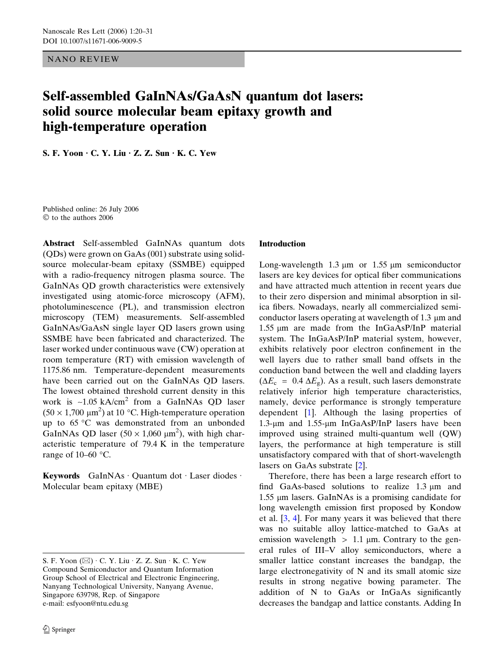NANO REVIEW

# Self-assembled GaInNAs/GaAsN quantum dot lasers: solid source molecular beam epitaxy growth and high-temperature operation

S. F. Yoon  $\cdot$  C. Y. Liu  $\cdot$  Z. Z. Sun  $\cdot$  K. C. Yew

Published online: 26 July 2006  $©$  to the authors 2006

Abstract Self-assembled GaInNAs quantum dots (QDs) were grown on GaAs (001) substrate using solidsource molecular-beam epitaxy (SSMBE) equipped with a radio-frequency nitrogen plasma source. The GaInNAs QD growth characteristics were extensively investigated using atomic-force microscopy (AFM), photoluminescence (PL), and transmission electron microscopy (TEM) measurements. Self-assembled GaInNAs/GaAsN single layer QD lasers grown using SSMBE have been fabricated and characterized. The laser worked under continuous wave (CW) operation at room temperature (RT) with emission wavelength of 1175.86 nm. Temperature-dependent measurements have been carried out on the GaInNAs QD lasers. The lowest obtained threshold current density in this work is ~1.05 kA/cm<sup>2</sup> from a GaInNAs QD laser  $(50 \times 1,700 \mu m^2)$  at 10 °C. High-temperature operation up to  $65^{\circ}$ C was demonstrated from an unbonded GaInNAs QD laser  $(50 \times 1,060 \mu m^2)$ , with high characteristic temperature of 79.4 K in the temperature range of  $10-60$  °C.

Keywords GaInNAs Quantum dot Laser diodes · Molecular beam epitaxy (MBE)

### Introduction

Long-wavelength  $1.3 \mu m$  or  $1.55 \mu m$  semiconductor lasers are key devices for optical fiber communications and have attracted much attention in recent years due to their zero dispersion and minimal absorption in silica fibers. Nowadays, nearly all commercialized semiconductor lasers operating at wavelength of  $1.3 \mu m$  and  $1.55 \mu m$  are made from the InGaAsP/InP material system. The InGaAsP/InP material system, however, exhibits relatively poor electron confinement in the well layers due to rather small band offsets in the conduction band between the well and cladding layers  $(\Delta E_c = 0.4 \Delta E_g)$ . As a result, such lasers demonstrate relatively inferior high temperature characteristics, namely, device performance is strongly temperature dependent [\[1](#page-10-0)]. Although the lasing properties of 1.3- $\mu$ m and 1.55- $\mu$ m InGaAsP/InP lasers have been improved using strained multi-quantum well (QW) layers, the performance at high temperature is still unsatisfactory compared with that of short-wavelength lasers on GaAs substrate [\[2](#page-10-0)].

Therefore, there has been a large research effort to find GaAs-based solutions to realize  $1.3 \mu m$  and 1.55 µm lasers. GaInNAs is a promising candidate for long wavelength emission first proposed by Kondow et al. [\[3](#page-10-0), [4](#page-10-0)]. For many years it was believed that there was no suitable alloy lattice-matched to GaAs at emission wavelength  $> 1.1 \mu m$ . Contrary to the general rules of III–V alloy semiconductors, where a smaller lattice constant increases the bandgap, the large electronegativity of N and its small atomic size results in strong negative bowing parameter. The addition of N to GaAs or InGaAs significantly decreases the bandgap and lattice constants. Adding In

S. F. Yoon  $(\boxtimes) \cdot C$ . Y. Liu  $\cdot Z$ . Z. Sun  $\cdot K$ . C. Yew Compound Semiconductor and Quantum Information Group School of Electrical and Electronic Engineering, Nanyang Technological University, Nanyang Avenue, Singapore 639798, Rep. of Singapore e-mail: esfyoon@ntu.edu.sg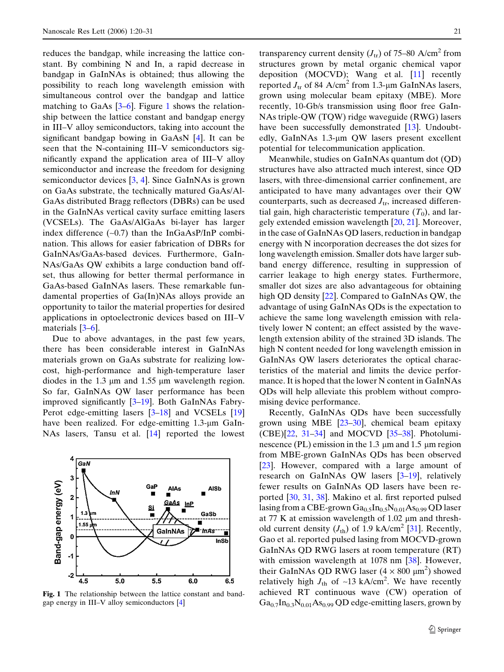reduces the bandgap, while increasing the lattice constant. By combining N and In, a rapid decrease in bandgap in GaInNAs is obtained; thus allowing the possibility to reach long wavelength emission with simultaneous control over the bandgap and lattice matching to GaAs  $[3-6]$ . Figure 1 shows the relationship between the lattice constant and bandgap energy in III–V alloy semiconductors, taking into account the significant bandgap bowing in GaAsN [[4](#page-10-0)]. It can be seen that the N-containing III–V semiconductors significantly expand the application area of III–V alloy semiconductor and increase the freedom for designing semiconductor devices  $[3, 4]$  $[3, 4]$  $[3, 4]$ . Since GaInNAs is grown on GaAs substrate, the technically matured GaAs/Al-GaAs distributed Bragg reflectors (DBRs) can be used in the GaInNAs vertical cavity surface emitting lasers (VCSELs). The GaAs/AlGaAs bi-layer has larger index difference (~0.7) than the InGaAsP/InP combination. This allows for easier fabrication of DBRs for GaInNAs/GaAs-based devices. Furthermore, GaIn-NAs/GaAs QW exhibits a large conduction band offset, thus allowing for better thermal performance in GaAs-based GaInNAs lasers. These remarkable fundamental properties of Ga(In)NAs alloys provide an opportunity to tailor the material properties for desired applications in optoelectronic devices based on III–V materials [[3–6\]](#page-10-0).

Due to above advantages, in the past few years, there has been considerable interest in GaInNAs materials grown on GaAs substrate for realizing lowcost, high-performance and high-temperature laser diodes in the 1.3  $\mu$ m and 1.55  $\mu$ m wavelength region. So far, GaInNAs QW laser performance has been improved significantly [[3–19\]](#page-10-0). Both GaInNAs Fabry-Perot edge-emitting lasers [\[3–18](#page-10-0)] and VCSELs [\[19](#page-10-0)] have been realized. For edge-emitting 1.3-µm GaIn-NAs lasers, Tansu et al. [[14\]](#page-10-0) reported the lowest



Fig. 1 The relationship between the lattice constant and bandgap energy in III–V alloy semiconductors [\[4](#page-10-0)]

transparency current density  $(J_{tr})$  of 75–80 A/cm<sup>2</sup> from structures grown by metal organic chemical vapor deposition (MOCVD); Wang et al. [[11\]](#page-10-0) recently reported  $J_{tr}$  of 84 A/cm<sup>2</sup> from 1.3-µm GaInNAs lasers, grown using molecular beam epitaxy (MBE). More recently, 10-Gb/s transmission using floor free GaIn-NAs triple-QW (TQW) ridge waveguide (RWG) lasers have been successfully demonstrated [\[13](#page-10-0)]. Undoubtedly, GaInNAs 1.3-μm QW lasers present excellent potential for telecommunication application.

Meanwhile, studies on GaInNAs quantum dot (QD) structures have also attracted much interest, since QD lasers, with three-dimensional carrier confinement, are anticipated to have many advantages over their QW counterparts, such as decreased  $J_{tr}$ , increased differential gain, high characteristic temperature  $(T_0)$ , and largely extended emission wavelength [\[20](#page-10-0), [21](#page-10-0)]. Moreover, in the case of GaInNAs QD lasers, reduction in bandgap energy with N incorporation decreases the dot sizes for long wavelength emission. Smaller dots have larger subband energy difference, resulting in suppression of carrier leakage to high energy states. Furthermore, smaller dot sizes are also advantageous for obtaining high QD density [[22\]](#page-10-0). Compared to GaInNAs QW, the advantage of using GaInNAs QDs is the expectation to achieve the same long wavelength emission with relatively lower N content; an effect assisted by the wavelength extension ability of the strained 3D islands. The high N content needed for long wavelength emission in GaInNAs QW lasers deteriorates the optical characteristics of the material and limits the device performance. It is hoped that the lower N content in GaInNAs QDs will help alleviate this problem without compromising device performance.

Recently, GaInNAs QDs have been successfully grown using MBE [[23–30\]](#page-10-0), chemical beam epitaxy  $(CBE)[22, 31-34]$  $(CBE)[22, 31-34]$  $(CBE)[22, 31-34]$  and MOCVD [35-38]. Photoluminescence (PL) emission in the 1.3  $\mu$ m and 1.5  $\mu$ m region from MBE-grown GaInNAs QDs has been observed [[23\]](#page-10-0). However, compared with a large amount of research on GaInNAs QW lasers [\[3–19](#page-10-0)], relatively fewer results on GaInNAs QD lasers have been reported [[30,](#page-10-0) [31,](#page-10-0) [38\]](#page-10-0). Makino et al. first reported pulsed lasing from a CBE-grown  $Ga_{0.5}In_{0.5}N_{0.01}As_{0.99}$  QD laser at 77 K at emission wavelength of  $1.02 \mu m$  and threshold current density  $(J_{\text{th}})$  of 1.9 kA/cm<sup>2</sup> [[31\]](#page-10-0). Recently, Gao et al. reported pulsed lasing from MOCVD-grown GaInNAs QD RWG lasers at room temperature (RT) with emission wavelength at 1078 nm [\[38](#page-10-0)]. However, their GaInNAs QD RWG laser  $(4 \times 800 \mu m^2)$  showed relatively high  $J_{\text{th}}$  of ~13 kA/cm<sup>2</sup>. We have recently achieved RT continuous wave (CW) operation of  $Ga_{0.7}In_{0.3}N_{0.01}As_{0.99}$  QD edge-emitting lasers, grown by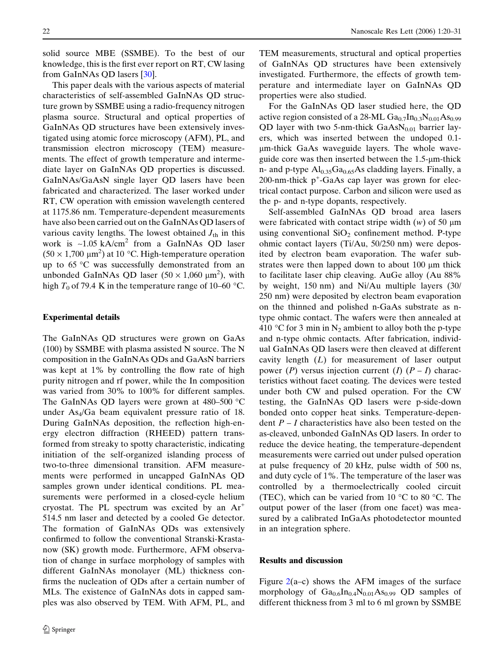solid source MBE (SSMBE). To the best of our knowledge, this is the first ever report on RT, CW lasing from GaInNAs QD lasers [\[30](#page-10-0)].

This paper deals with the various aspects of material characteristics of self-assembled GaInNAs QD structure grown by SSMBE using a radio-frequency nitrogen plasma source. Structural and optical properties of GaInNAs QD structures have been extensively investigated using atomic force microscopy (AFM), PL, and transmission electron microscopy (TEM) measurements. The effect of growth temperature and intermediate layer on GaInNAs QD properties is discussed. GaInNAs/GaAsN single layer QD lasers have been fabricated and characterized. The laser worked under RT, CW operation with emission wavelength centered at 1175.86 nm. Temperature-dependent measurements have also been carried out on the GaInNAs QD lasers of various cavity lengths. The lowest obtained  $J_{th}$  in this work is ~1.05 kA/cm<sup>2</sup> from a GaInNAs QD laser  $(50 \times 1,700 \mu m^2)$  at 10 °C. High-temperature operation up to  $65^{\circ}$ C was successfully demonstrated from an unbonded GaInNAs QD laser  $(50 \times 1,060 \mu m^2)$ , with high  $T_0$  of 79.4 K in the temperature range of 10–60 °C.

#### Experimental details

The GaInNAs QD structures were grown on GaAs (100) by SSMBE with plasma assisted N source. The N composition in the GaInNAs QDs and GaAsN barriers was kept at 1% by controlling the flow rate of high purity nitrogen and rf power, while the In composition was varied from 30% to 100% for different samples. The GaInNAs QD layers were grown at  $480-500$  °C under  $As<sub>4</sub>/Ga$  beam equivalent pressure ratio of 18. During GaInNAs deposition, the reflection high-energy electron diffraction (RHEED) pattern transformed from streaky to spotty characteristic, indicating initiation of the self-organized islanding process of two-to-three dimensional transition. AFM measurements were performed in uncapped GaInNAs QD samples grown under identical conditions. PL measurements were performed in a closed-cycle helium cryostat. The PL spectrum was excited by an  $Ar^+$ 514.5 nm laser and detected by a cooled Ge detector. The formation of GaInNAs QDs was extensively confirmed to follow the conventional Stranski-Krastanow (SK) growth mode. Furthermore, AFM observation of change in surface morphology of samples with different GaInNAs monolayer (ML) thickness confirms the nucleation of QDs after a certain number of MLs. The existence of GaInNAs dots in capped samples was also observed by TEM. With AFM, PL, and

TEM measurements, structural and optical properties of GaInNAs QD structures have been extensively investigated. Furthermore, the effects of growth temperature and intermediate layer on GaInNAs QD properties were also studied.

For the GaInNAs QD laser studied here, the QD active region consisted of a 28-ML  $Ga_{0.7}In_{0.3}N_{0.01}As_{0.99}$ QD layer with two 5-nm-thick  $GaAsN<sub>0.01</sub>$  barrier layers, which was inserted between the undoped 0.1 lm-thick GaAs waveguide layers. The whole waveguide core was then inserted between the  $1.5$ - $\mu$ m-thick n- and p-type  $Al_{0.35}Ga_{0.65}As$  cladding layers. Finally, a 200-nm-thick p<sup>+</sup>-GaAs cap layer was grown for electrical contact purpose. Carbon and silicon were used as the p- and n-type dopants, respectively.

Self-assembled GaInNAs QD broad area lasers were fabricated with contact stripe width  $(w)$  of 50  $\mu$ m using conventional  $SiO<sub>2</sub>$  confinement method. P-type ohmic contact layers (Ti/Au, 50/250 nm) were deposited by electron beam evaporation. The wafer substrates were then lapped down to about  $100 \mu m$  thick to facilitate laser chip cleaving. AuGe alloy (Au 88% by weight, 150 nm) and Ni/Au multiple layers (30/ 250 nm) were deposited by electron beam evaporation on the thinned and polished n-GaAs substrate as ntype ohmic contact. The wafers were then annealed at 410 °C for 3 min in N<sub>2</sub> ambient to alloy both the p-type and n-type ohmic contacts. After fabrication, individual GaInNAs QD lasers were then cleaved at different cavity length  $(L)$  for measurement of laser output power (P) versus injection current (I)  $(P - I)$  characteristics without facet coating. The devices were tested under both CW and pulsed operation. For the CW testing, the GaInNAs QD lasers were p-side-down bonded onto copper heat sinks. Temperature-dependent  $P - I$  characteristics have also been tested on the as-cleaved, unbonded GaInNAs QD lasers. In order to reduce the device heating, the temperature-dependent measurements were carried out under pulsed operation at pulse frequency of 20 kHz, pulse width of 500 ns, and duty cycle of 1%. The temperature of the laser was controlled by a thermoelectrically cooled circuit (TEC), which can be varied from 10  $\degree$ C to 80  $\degree$ C. The output power of the laser (from one facet) was measured by a calibrated InGaAs photodetector mounted in an integration sphere.

## Results and discussion

Figure  $2(a-c)$  $2(a-c)$  shows the AFM images of the surface morphology of  $Ga_{0.6}In_{0.4}N_{0.01}As_{0.99}$  QD samples of different thickness from 3 ml to 6 ml grown by SSMBE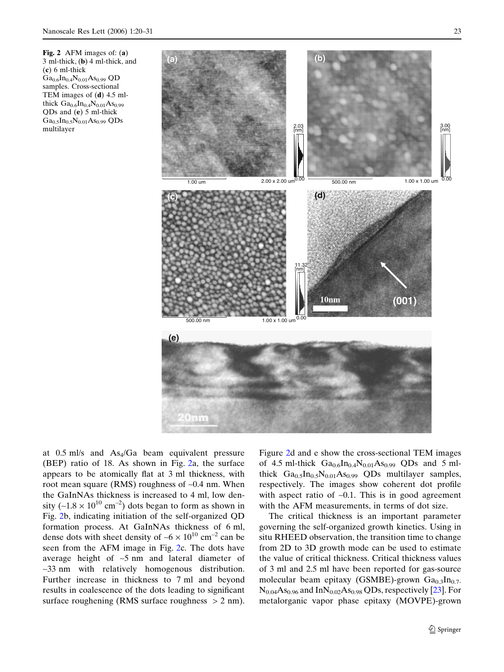at  $0.5$  ml/s and  $As<sub>4</sub>/Ga$  beam equivalent pressure (BEP) ratio of 18. As shown in Fig. 2a, the surface appears to be atomically flat at 3 ml thickness, with root mean square (RMS) roughness of ~0.4 nm. When the GaInNAs thickness is increased to 4 ml, low density ( $-1.8 \times 10^{10}$  cm<sup>-2</sup>) dots began to form as shown in Fig. 2b, indicating initiation of the self-organized QD formation process. At GaInNAs thickness of 6 ml, dense dots with sheet density of  $-6 \times 10^{10}$  cm<sup>-2</sup> can be seen from the AFM image in Fig. 2c. The dots have average height of  $-5$  nm and lateral diameter of ~33 nm with relatively homogenous distribution. Further increase in thickness to 7 ml and beyond results in coalescence of the dots leading to significant surface roughening (RMS surface roughness  $> 2$  nm).

Figure 2d and e show the cross-sectional TEM images of 4.5 ml-thick  $Ga_{0.6}In_{0.4}N_{0.01}As_{0.99}$  QDs and 5 mlthick  $Ga<sub>0.5</sub> In<sub>0.5</sub>N<sub>0.01</sub> As<sub>0.99</sub> QDs multilayer samples,$ respectively. The images show coherent dot profile with aspect ratio of  $-0.1$ . This is in good agreement with the AFM measurements, in terms of dot size.

The critical thickness is an important parameter governing the self-organized growth kinetics. Using in situ RHEED observation, the transition time to change from 2D to 3D growth mode can be used to estimate the value of critical thickness. Critical thickness values of 3 ml and 2.5 ml have been reported for gas-source molecular beam epitaxy (GSMBE)-grown  $Ga<sub>0.3</sub>In<sub>0.7</sub>$  $N_{0.04}As_{0.96}$  and In $N_{0.02}As_{0.98}$  QDs, respectively [\[23](#page-10-0)]. For metalorganic vapor phase epitaxy (MOVPE)-grown

<span id="page-3-0"></span>

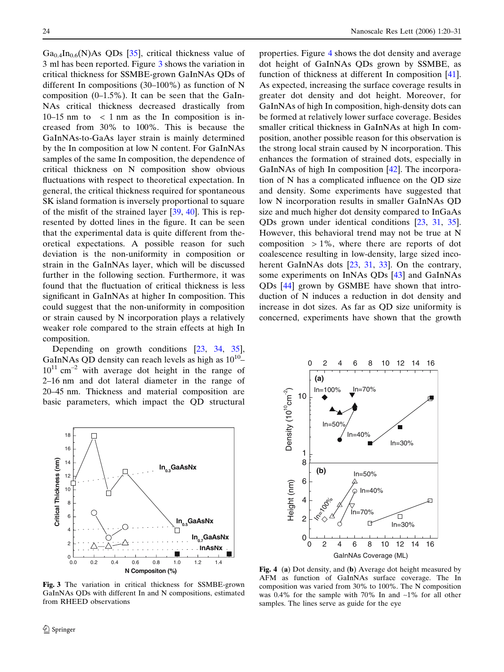$Ga<sub>0.4</sub> In<sub>0.6</sub>(N) As QDs [35], critical thickness value of$  $Ga<sub>0.4</sub> In<sub>0.6</sub>(N) As QDs [35], critical thickness value of$  $Ga<sub>0.4</sub> In<sub>0.6</sub>(N) As QDs [35], critical thickness value of$ 3 ml has been reported. Figure 3 shows the variation in critical thickness for SSMBE-grown GaInNAs QDs of different In compositions (30–100%) as function of N composition  $(0-1.5\%)$ . It can be seen that the GaIn-NAs critical thickness decreased drastically from 10–15 nm to  $\langle$  1 nm as the In composition is increased from 30% to 100%. This is because the GaInNAs-to-GaAs layer strain is mainly determined by the In composition at low N content. For GaInNAs samples of the same In composition, the dependence of critical thickness on N composition show obvious fluctuations with respect to theoretical expectation. In general, the critical thickness required for spontaneous SK island formation is inversely proportional to square of the misfit of the strained layer [\[39](#page-10-0), [40](#page-10-0)]. This is represented by dotted lines in the figure. It can be seen that the experimental data is quite different from theoretical expectations. A possible reason for such deviation is the non-uniformity in composition or strain in the GaInNAs layer, which will be discussed further in the following section. Furthermore, it was found that the fluctuation of critical thickness is less significant in GaInNAs at higher In composition. This could suggest that the non-uniformity in composition or strain caused by N incorporation plays a relatively weaker role compared to the strain effects at high In composition.

Depending on growth conditions [[23,](#page-10-0) [34](#page-10-0), [35\]](#page-10-0), GaInNAs QD density can reach levels as high as  $10^{10}$ –  $10^{11}$  cm<sup>-2</sup> with average dot height in the range of 2–16 nm and dot lateral diameter in the range of 20–45 nm. Thickness and material composition are basic parameters, which impact the QD structural



properties. Figure 4 shows the dot density and average dot height of GaInNAs QDs grown by SSMBE, as function of thickness at different In composition [[41\]](#page-10-0). As expected, increasing the surface coverage results in greater dot density and dot height. Moreover, for GaInNAs of high In composition, high-density dots can be formed at relatively lower surface coverage. Besides smaller critical thickness in GaInNAs at high In composition, another possible reason for this observation is the strong local strain caused by N incorporation. This enhances the formation of strained dots, especially in GaInNAs of high In composition [[42\]](#page-10-0). The incorporation of N has a complicated influence on the QD size and density. Some experiments have suggested that low N incorporation results in smaller GaInNAs QD size and much higher dot density compared to InGaAs QDs grown under identical conditions [[23,](#page-10-0) [31,](#page-10-0) [35\]](#page-10-0). However, this behavioral trend may not be true at N composition  $> 1\%$ , where there are reports of dot coalescence resulting in low-density, large sized inco-herent GaInNAs dots [\[23](#page-10-0), [31](#page-10-0), [33\]](#page-10-0). On the contrary, some experiments on InNAs QDs [\[43](#page-10-0)] and GaInNAs QDs [[44\]](#page-10-0) grown by GSMBE have shown that introduction of N induces a reduction in dot density and increase in dot sizes. As far as QD size uniformity is concerned, experiments have shown that the growth



Fig. 3 The variation in critical thickness for SSMBE-grown GaInNAs QDs with different In and N compositions, estimated from RHEED observations

Fig. 4 (a) Dot density, and (b) Average dot height measured by AFM as function of GaInNAs surface coverage. The In composition was varied from 30% to 100%. The N composition was 0.4% for the sample with 70% In and  $~1\%$  for all other samples. The lines serve as guide for the eye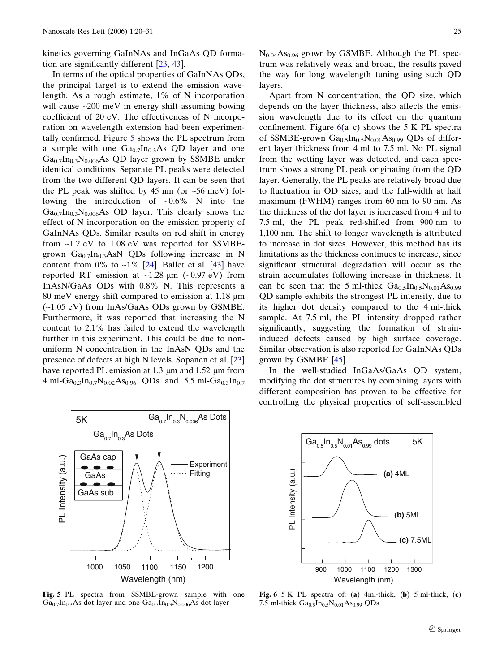kinetics governing GaInNAs and InGaAs QD formation are significantly different [\[23](#page-10-0), [43\]](#page-10-0).

In terms of the optical properties of GaInNAs QDs, the principal target is to extend the emission wavelength. As a rough estimate, 1% of N incorporation will cause  $\sim 200$  meV in energy shift assuming bowing coefficient of 20 eV. The effectiveness of N incorporation on wavelength extension had been experimentally confirmed. Figure 5 shows the PL spectrum from a sample with one  $Ga<sub>0.7</sub> In<sub>0.3</sub> As QD layer and one$  $Ga_{0.7}$ In<sub>0.3</sub>N<sub>0.006</sub>As QD layer grown by SSMBE under identical conditions. Separate PL peaks were detected from the two different QD layers. It can be seen that the PL peak was shifted by 45 nm (or  $\sim$  56 meV) following the introduction of  $\sim 0.6\%$  N into the  $Ga_{0.7}In_{0.3}N_{0.006}As$  QD layer. This clearly shows the effect of N incorporation on the emission property of GaInNAs QDs. Similar results on red shift in energy from ~1.2 eV to 1.08 eV was reported for SSMBEgrown  $Ga_{0.7}In_{0.3}AsN$  QDs following increase in N content from 0% to  $\sim$ 1% [[24\]](#page-10-0). Ballet et al. [[43\]](#page-10-0) have reported RT emission at  $\sim$ 1.28  $\mu$ m ( $\sim$ 0.97 eV) from InAsN/GaAs QDs with 0.8% N. This represents a 80 meV energy shift compared to emission at  $1.18 \mu m$ (~1.05 eV) from InAs/GaAs QDs grown by GSMBE. Furthermore, it was reported that increasing the N content to 2.1% has failed to extend the wavelength further in this experiment. This could be due to nonuniform N concentration in the InAsN QDs and the presence of defects at high N levels. Sopanen et al. [\[23](#page-10-0)] have reported PL emission at 1.3  $\mu$ m and 1.52  $\mu$ m from 4 ml-Ga<sub>0.3</sub>In<sub>0.7</sub>N<sub>0.02</sub>As<sub>0.96</sub> QDs and 5.5 ml-Ga<sub>0.3</sub>In<sub>0.7</sub>



Fig. 5 PL spectra from SSMBE-grown sample with one  $Ga_{0.7}In_{0.3}As$  dot layer and one  $Ga_{0.7}In_{0.3}N_{0.006}As$  dot layer

 $N_{0.04}As_{0.96}$  grown by GSMBE. Although the PL spectrum was relatively weak and broad, the results paved the way for long wavelength tuning using such QD layers.

Apart from N concentration, the QD size, which depends on the layer thickness, also affects the emission wavelength due to its effect on the quantum confinement. Figure  $6(a-c)$  shows the 5 K PL spectra of SSMBE-grown  $Ga_{0.5}In_{0.5}N_{0.01}As_{0.99}$  QDs of different layer thickness from 4 ml to 7.5 ml. No PL signal from the wetting layer was detected, and each spectrum shows a strong PL peak originating from the QD layer. Generally, the PL peaks are relatively broad due to fluctuation in QD sizes, and the full-width at half maximum (FWHM) ranges from 60 nm to 90 nm. As the thickness of the dot layer is increased from 4 ml to 7.5 ml, the PL peak red-shifted from 900 nm to 1,100 nm. The shift to longer wavelength is attributed to increase in dot sizes. However, this method has its limitations as the thickness continues to increase, since significant structural degradation will occur as the strain accumulates following increase in thickness. It can be seen that the 5 ml-thick  $Ga_{0.5}In_{0.5}N_{0.01}As_{0.99}$ QD sample exhibits the strongest PL intensity, due to its higher dot density compared to the 4 ml-thick sample. At 7.5 ml, the PL intensity dropped rather significantly, suggesting the formation of straininduced defects caused by high surface coverage. Similar observation is also reported for GaInNAs QDs grown by GSMBE [[45\]](#page-10-0).

In the well-studied InGaAs/GaAs QD system, modifying the dot structures by combining layers with different composition has proven to be effective for controlling the physical properties of self-assembled



Fig. 6 5 K PL spectra of: (a) 4ml-thick, (b) 5 ml-thick, (c) 7.5 ml-thick  $Ga_{0.5}In_{0.5}N_{0.01}As_{0.99}$  QDs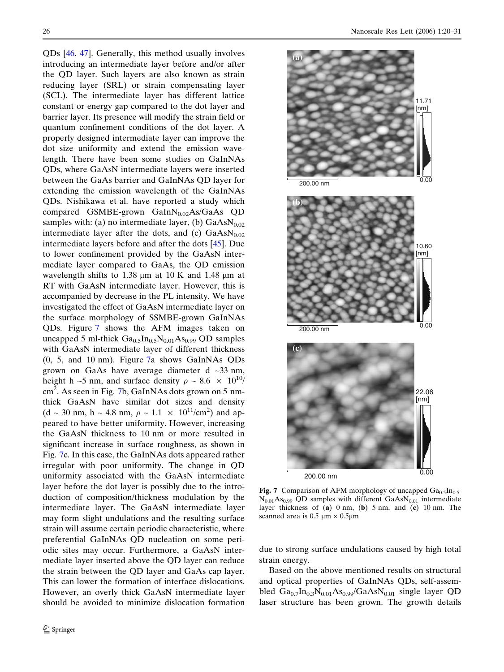QDs [[46,](#page-11-0) [47](#page-11-0)]. Generally, this method usually involves introducing an intermediate layer before and/or after the QD layer. Such layers are also known as strain reducing layer (SRL) or strain compensating layer (SCL). The intermediate layer has different lattice constant or energy gap compared to the dot layer and barrier layer. Its presence will modify the strain field or quantum confinement conditions of the dot layer. A properly designed intermediate layer can improve the dot size uniformity and extend the emission wavelength. There have been some studies on GaInNAs QDs, where GaAsN intermediate layers were inserted between the GaAs barrier and GaInNAs QD layer for extending the emission wavelength of the GaInNAs QDs. Nishikawa et al. have reported a study which compared GSMBE-grown GaIn $N_{0.02}$ As/GaAs QD samples with: (a) no intermediate layer, (b)  $GaAsN<sub>0.02</sub>$ intermediate layer after the dots, and (c)  $GaAsN<sub>0.02</sub>$ intermediate layers before and after the dots [\[45](#page-10-0)]. Due to lower confinement provided by the GaAsN intermediate layer compared to GaAs, the QD emission wavelength shifts to 1.38  $\mu$ m at 10 K and 1.48  $\mu$ m at RT with GaAsN intermediate layer. However, this is accompanied by decrease in the PL intensity. We have investigated the effect of GaAsN intermediate layer on the surface morphology of SSMBE-grown GaInNAs QDs. Figure 7 shows the AFM images taken on uncapped 5 ml-thick  $Ga_{0.5}In_{0.5}N_{0.01}As_{0.99}$  QD samples with GaAsN intermediate layer of different thickness (0, 5, and 10 nm). Figure 7a shows GaInNAs QDs grown on GaAs have average diameter d ~33 nm, height h ~5 nm, and surface density  $\rho \sim 8.6 \times 10^{10}$ / cm<sup>2</sup>. As seen in Fig. 7b, GaInNAs dots grown on 5 nmthick GaAsN have similar dot sizes and density  $(d \sim 30 \text{ nm}, \, h \sim 4.8 \text{ nm}, \, \rho \sim 1.1 \times 10^{11} / \text{cm}^2)$  and appeared to have better uniformity. However, increasing the GaAsN thickness to 10 nm or more resulted in significant increase in surface roughness, as shown in Fig. 7c. In this case, the GaInNAs dots appeared rather irregular with poor uniformity. The change in QD uniformity associated with the GaAsN intermediate layer before the dot layer is possibly due to the introduction of composition/thickness modulation by the intermediate layer. The GaAsN intermediate layer may form slight undulations and the resulting surface strain will assume certain periodic characteristic, where preferential GaInNAs QD nucleation on some periodic sites may occur. Furthermore, a GaAsN intermediate layer inserted above the QD layer can reduce the strain between the QD layer and GaAs cap layer. This can lower the formation of interface dislocations. However, an overly thick GaAsN intermediate layer should be avoided to minimize dislocation formation



Fig. 7 Comparison of AFM morphology of uncapped  $Ga<sub>0.5</sub>In<sub>0.5</sub>$  $N_{0.01}As_{0.99}$  QD samples with different  $GaAsN_{0.01}$  intermediate layer thickness of  $(a)$  0 nm,  $(b)$  5 nm, and  $(c)$  10 nm. The scanned area is  $0.5 \mu m \times 0.5 \mu m$ 

due to strong surface undulations caused by high total strain energy.

Based on the above mentioned results on structural and optical properties of GaInNAs QDs, self-assembled  $Ga_{0.7}In_{0.3}N_{0.01}As_{0.99}/GaAsN_{0.01}$  single layer QD laser structure has been grown. The growth details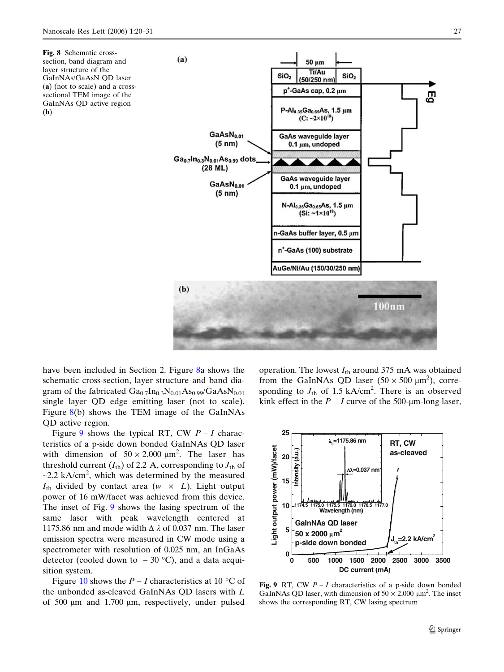(b)

<span id="page-7-0"></span>

have been included in Section 2. Figure 8a shows the schematic cross-section, layer structure and band diagram of the fabricated  $Ga_{0.7}In_{0.3}N_{0.01}As_{0.99}/GaAsN_{0.01}$ single layer QD edge emitting laser (not to scale). Figure 8(b) shows the TEM image of the GaInNAs QD active region.

Figure 9 shows the typical RT, CW  $P - I$  characteristics of a p-side down bonded GaInNAs QD laser with dimension of  $50 \times 2,000 \mu m^2$ . The laser has threshold current  $(I_{\text{th}})$  of 2.2 A, corresponding to  $J_{\text{th}}$  of  $\sim$ 2.2 kA/cm<sup>2</sup>, which was determined by the measured  $I_{\text{th}}$  divided by contact area (w  $\times$  *L*). Light output power of 16 mW/facet was achieved from this device. The inset of Fig. 9 shows the lasing spectrum of the same laser with peak wavelength centered at 1175.86 nm and mode width  $\Delta \lambda$  of 0.037 nm. The laser emission spectra were measured in CW mode using a spectrometer with resolution of 0.025 nm, an InGaAs detector (cooled down to  $-30$  °C), and a data acquisition system.

Figure [10](#page-8-0) shows the  $P - I$  characteristics at 10 °C of the unbonded as-cleaved GaInNAs QD lasers with L of  $500 \mu m$  and  $1,700 \mu m$ , respectively, under pulsed

operation. The lowest  $I_{\text{th}}$  around 375 mA was obtained from the GaInNAs QD laser  $(50 \times 500 \mu m^2)$ , corresponding to  $J_{\text{th}}$  of 1.5 kA/cm<sup>2</sup>. There is an observed kink effect in the  $P - I$  curve of the 500-µm-long laser,



Fig. 9 RT, CW  $P - I$  characteristics of a p-side down bonded GaInNAs QD laser, with dimension of  $50 \times 2,000 \mu m^2$ . The inset shows the corresponding RT, CW lasing spectrum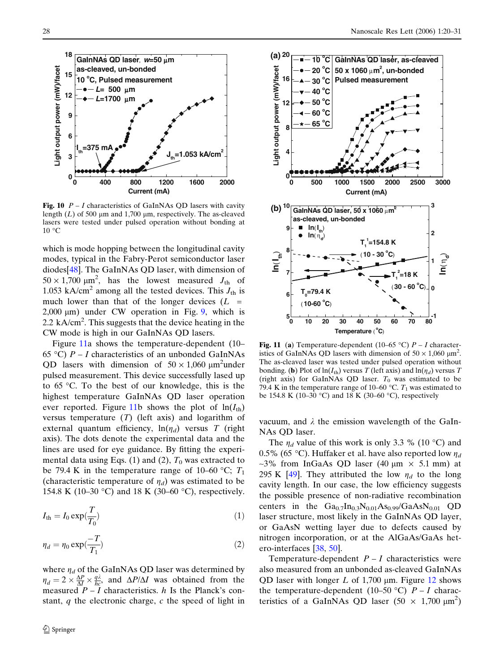<span id="page-8-0"></span>

Fig. 10  $P - I$  characteristics of GaInNAs QD lasers with cavity length  $(L)$  of 500  $\mu$ m and 1,700  $\mu$ m, respectively. The as-cleaved lasers were tested under pulsed operation without bonding at  $10 °C$ 

which is mode hopping between the longitudinal cavity modes, typical in the Fabry-Perot semiconductor laser diodes[[48\]](#page-11-0). The GaInNAs QD laser, with dimension of  $50 \times 1,700 \text{ }\mu\text{m}^2$ , has the lowest measured  $J_{\text{th}}$  of 1.053 kA/cm<sup>2</sup> among all the tested devices. This  $J_{th}$  is much lower than that of the longer devices  $(L =$  $2,000 \text{ }\mu\text{m}$ ) under CW operation in Fig. [9,](#page-7-0) which is 2.2 kA/cm<sup>2</sup>. This suggests that the device heating in the CW mode is high in our GaInNAs QD lasers.

Figure 11a shows the temperature-dependent (10– 65 °C)  $P - I$  characteristics of an unbonded GaInNAs QD lasers with dimension of  $50 \times 1,060 \mu m^2$ under pulsed measurement. This device successfully lased up to  $65 \degree$ C. To the best of our knowledge, this is the highest temperature GaInNAs QD laser operation ever reported. Figure 11b shows the plot of  $ln(I_{\text{th}})$ versus temperature  $(T)$  (left axis) and logarithm of external quantum efficiency,  $ln(\eta_d)$  versus T (right axis). The dots denote the experimental data and the lines are used for eye guidance. By fitting the experimental data using Eqs. (1) and (2),  $T_0$  was extracted to be 79.4 K in the temperature range of 10–60 °C;  $T_1$ (characteristic temperature of  $\eta_d$ ) was estimated to be 154.8 K (10–30 °C) and 18 K (30–60 °C), respectively.

$$
I_{\rm th} = I_0 \exp(\frac{T}{T_0})
$$
\n(1)

$$
\eta_d = \eta_0 \exp(\frac{-T}{T_1})\tag{2}
$$

where  $\eta_d$  of the GaInNAs QD laser was determined by  $\eta_d = 2 \times \frac{\Delta P}{\Delta l} \times \frac{q\lambda}{hc}$ , and  $\Delta P/\Delta I$  was obtained from the measured  $P - I$  characteristics. h Is the Planck's constant,  $q$  the electronic charge,  $c$  the speed of light in



Fig. 11 (a) Temperature-dependent (10–65 °C)  $P - I$  characteristics of GaInNAs QD lasers with dimension of  $50 \times 1,060 \text{ }\mu\text{m}^2$ . The as-cleaved laser was tested under pulsed operation without bonding. (b) Plot of  $ln(I_{th})$  versus T (left axis) and  $ln(\eta_d)$  versus T (right axis) for GaInNAs QD laser.  $T_0$  was estimated to be 79.4 K in the temperature range of 10–60 °C.  $T_1$  was estimated to be 154.8 K (10–30 °C) and 18 K (30–60 °C), respectively

vacuum, and  $\lambda$  the emission wavelength of the GaIn-NAs QD laser.

The  $\eta_d$  value of this work is only 3.3 % (10 °C) and 0.5% (65 °C). Huffaker et al. have also reported low  $\eta_d$ ~3% from InGaAs QD laser (40  $\mu$ m  $\times$  5.1 mm) at 295 K [\[49](#page-11-0)]. They attributed the low  $\eta_d$  to the long cavity length. In our case, the low efficiency suggests the possible presence of non-radiative recombination centers in the  $Ga_{0.7}In_{0.3}N_{0.01}As_{0.99}/GaAsN_{0.01}$  QD laser structure, most likely in the GaInNAs QD layer, or GaAsN wetting layer due to defects caused by nitrogen incorporation, or at the AlGaAs/GaAs hetero-interfaces [[38,](#page-10-0) [50\]](#page-11-0).

Temperature-dependent  $P - I$  characteristics were also measured from an unbonded as-cleaved GaInNAs QD laser with longer L of 1,700  $\mu$ m. Figure [12](#page-9-0) shows the temperature-dependent (10–50 °C)  $P-I$  characteristics of a GaInNAs QD laser  $(50 \times 1,700 \mu m^2)$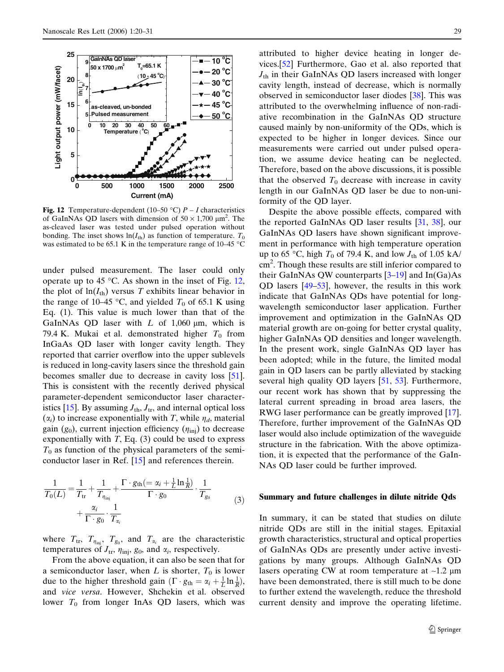<span id="page-9-0"></span>

Fig. 12 Temperature-dependent (10–50 °C)  $P - I$  characteristics of GaInNAs QD lasers with dimension of  $50 \times 1,700 \mu m^2$ . The as-cleaved laser was tested under pulsed operation without bonding. The inset shows  $ln(I_{th})$  as function of temperature.  $T_0$ was estimated to be 65.1 K in the temperature range of 10–45  $\degree$ C

under pulsed measurement. The laser could only operate up to 45  $\degree$ C. As shown in the inset of Fig. 12, the plot of  $ln(I_{th})$  versus T exhibits linear behavior in the range of 10–45 °C, and yielded  $T_0$  of 65.1 K using Eq. (1). This value is much lower than that of the GaInNAs QD laser with  $L$  of 1,060  $\mu$ m, which is 79.4 K. Mukai et al. demonstrated higher  $T_0$  from InGaAs QD laser with longer cavity length. They reported that carrier overflow into the upper sublevels is reduced in long-cavity lasers since the threshold gain becomes smaller due to decrease in cavity loss [[51\]](#page-11-0). This is consistent with the recently derived physical parameter-dependent semiconductor laser character-istics [[15\]](#page-10-0). By assuming  $J_{\text{th}}$ ,  $J_{\text{tr}}$ , and internal optical loss  $(\alpha_i)$  to increase exponentially with T, while  $\eta_d$ , material gain ( $g_0$ ), current injection efficiency ( $\eta_{\text{inj}}$ ) to decrease exponentially with  $T$ , Eq. (3) could be used to express  $T_0$  as function of the physical parameters of the semiconductor laser in Ref. [\[15](#page-10-0)] and references therein.

$$
\frac{1}{T_0(L)} = \frac{1}{T_{\text{tr}}} + \frac{1}{T_{\eta_{\text{inj}}}} + \frac{\Gamma \cdot g_{\text{th}}(=\alpha_i + \frac{1}{L} \ln \frac{1}{R})}{\Gamma \cdot g_0} \cdot \frac{1}{T_{g_0}} + \frac{\alpha_i}{\Gamma \cdot g_0} \cdot \frac{1}{T_{\alpha_i}} \tag{3}
$$

where  $T_{tr}$ ,  $T_{\eta_{\text{inj}}}$ ,  $T_{g_0}$ , and  $T_{\alpha_i}$  are the characteristic temperatures of  $J_{tr}$ ,  $\eta_{\text{inj}}$ ,  $g_0$ , and  $\alpha_i$ , respectively.

From the above equation, it can also be seen that for a semiconductor laser, when L is shorter,  $T_0$  is lower due to the higher threshold gain  $(\Gamma \cdot g_{\text{th}} = \alpha_i + \frac{1}{L} \ln \frac{1}{R}),$ and vice versa. However, Shchekin et al. observed lower  $T_0$  from longer InAs QD lasers, which was

attributed to higher device heating in longer devices.[\[52](#page-11-0)] Furthermore, Gao et al. also reported that  $J<sub>th</sub>$  in their GaInNAs QD lasers increased with longer cavity length, instead of decrease, which is normally observed in semiconductor laser diodes [\[38](#page-10-0)]. This was attributed to the overwhelming influence of non-radiative recombination in the GaInNAs QD structure caused mainly by non-uniformity of the QDs, which is expected to be higher in longer devices. Since our measurements were carried out under pulsed operation, we assume device heating can be neglected. Therefore, based on the above discussions, it is possible that the observed  $T_0$  decrease with increase in cavity length in our GaInNAs QD laser be due to non-uniformity of the QD layer.

Despite the above possible effects, compared with the reported GaInNAs QD laser results [\[31](#page-10-0), [38\]](#page-10-0), our GaInNAs QD lasers have shown significant improvement in performance with high temperature operation up to 65 °C, high  $T_0$  of 79.4 K, and low  $J_{th}$  of 1.05 kA/ cm<sup>2</sup>. Though these results are still inferior compared to their GaInNAs QW counterparts  $[3-19]$  and In(Ga)As QD lasers [[49–53\]](#page-11-0), however, the results in this work indicate that GaInNAs QDs have potential for longwavelength semiconductor laser application. Further improvement and optimization in the GaInNAs QD material growth are on-going for better crystal quality, higher GaInNAs QD densities and longer wavelength. In the present work, single GaInNAs QD layer has been adopted; while in the future, the limited modal gain in QD lasers can be partly alleviated by stacking several high quality QD layers [\[51](#page-11-0), [53\]](#page-11-0). Furthermore, our recent work has shown that by suppressing the lateral current spreading in broad area lasers, the RWG laser performance can be greatly improved [[17\]](#page-10-0). Therefore, further improvement of the GaInNAs QD laser would also include optimization of the waveguide structure in the fabrication. With the above optimization, it is expected that the performance of the GaIn-NAs QD laser could be further improved.

#### Summary and future challenges in dilute nitride Qds

In summary, it can be stated that studies on dilute nitride QDs are still in the initial stages. Epitaxial growth characteristics, structural and optical properties of GaInNAs QDs are presently under active investigations by many groups. Although GaInNAs QD lasers operating CW at room temperature at  $\sim$ 1.2 µm have been demonstrated, there is still much to be done to further extend the wavelength, reduce the threshold current density and improve the operating lifetime.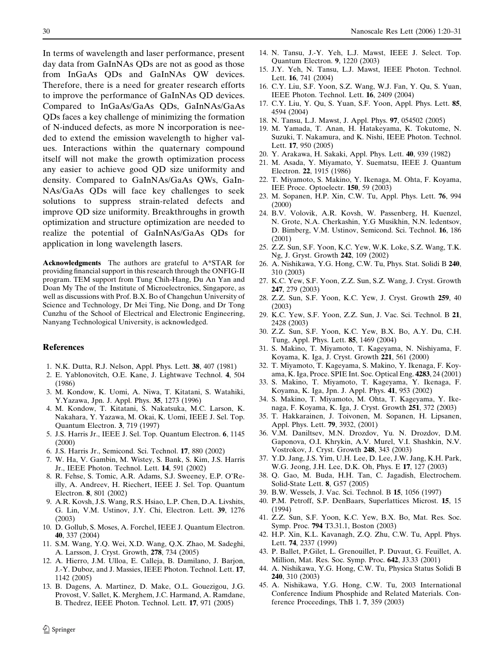<span id="page-10-0"></span>In terms of wavelength and laser performance, present day data from GaInNAs QDs are not as good as those from InGaAs QDs and GaInNAs QW devices. Therefore, there is a need for greater research efforts to improve the performance of GaInNAs QD devices. Compared to InGaAs/GaAs QDs, GaInNAs/GaAs QDs faces a key challenge of minimizing the formation of N-induced defects, as more N incorporation is needed to extend the emission wavelength to higher values. Interactions within the quaternary compound itself will not make the growth optimization process any easier to achieve good QD size uniformity and density. Compared to GaInNAs/GaAs QWs, GaIn-NAs/GaAs QDs will face key challenges to seek solutions to suppress strain-related defects and improve QD size uniformity. Breakthroughs in growth optimization and structure optimization are needed to realize the potential of GaInNAs/GaAs QDs for application in long wavelength lasers.

Acknowledgments The authors are grateful to A\*STAR for providing financial support in this research through the ONFIG-II program. TEM support from Tung Chih-Hang, Du An Yan and Doan My The of the Institute of Microelectronics, Singapore, as well as discussions with Prof. B.X. Bo of Changchun University of Science and Technology, Dr Mei Ting, Nie Dong, and Dr Tong Cunzhu of the School of Electrical and Electronic Engineering, Nanyang Technological University, is acknowledged.

## **References**

- 1. N.K. Dutta, R.J. Nelson, Appl. Phys. Lett. 38, 407 (1981)
- 2. E. Yablonovitch, O.E. Kane, J. Lightwave Technol. 4, 504 (1986)
- 3. M. Kondow, K. Uomi, A. Niwa, T. Kitatani, S. Watahiki, Y.Yazawa, Jpn. J. Appl. Phys. 35, 1273 (1996)
- 4. M. Kondow, T. Kitatani, S. Nakatsuka, M.C. Larson, K. Nakahara, Y. Yazawa, M. Okai, K. Uomi, IEEE J. Sel. Top. Quantum Electron. 3, 719 (1997)
- 5. J.S. Harris Jr., IEEE J. Sel. Top. Quantum Electron. 6, 1145 (2000)
- 6. J.S. Harris Jr., Semicond. Sci. Technol. 17, 880 (2002)
- 7. W. Ha, V. Gambin, M. Wistey, S. Bank, S. Kim, J.S. Harris Jr., IEEE Photon. Technol. Lett. 14, 591 (2002)
- 8. R. Fehse, S. Tomic, A.R. Adams, S.J. Sweeney, E.P. O'Reilly, A. Andreev, H. Riechert, IEEE J. Sel. Top. Quantum Electron. 8, 801 (2002)
- 9. A.R. Kovsh, J.S. Wang, R.S. Hsiao, L.P. Chen, D.A. Livshits, G. Lin, V.M. Ustinov, J.Y. Chi, Electron. Lett. 39, 1276 (2003)
- 10. D. Gollub, S. Moses, A. Forchel, IEEE J. Quantum Electron. 40, 337 (2004)
- 11. S.M. Wang, Y.Q. Wei, X.D. Wang, Q.X. Zhao, M. Sadeghi, A. Larsson, J. Cryst. Growth, 278, 734 (2005)
- 12. A. Hierro, J.M. Ulloa, E. Calleja, B. Damilano, J. Barjon, J.-Y. Duboz, and J. Massies, IEEE Photon. Technol. Lett. 17, 1142 (2005)
- 13. B. Dagens, A. Martinez, D. Make, O.L. Gouezigou, J.G. Provost, V. Sallet, K. Merghem, J.C. Harmand, A. Ramdane, B. Thedrez, IEEE Photon. Technol. Lett. 17, 971 (2005)
- 14. N. Tansu, J.-Y. Yeh, L.J. Mawst, IEEE J. Select. Top. Quantum Electron. 9, 1220 (2003)
- 15. J.Y. Yeh, N. Tansu, L.J. Mawst, IEEE Photon. Technol. Lett. 16, 741 (2004)
- 16. C.Y. Liu, S.F. Yoon, S.Z. Wang, W.J. Fan, Y. Qu, S. Yuan, IEEE Photon. Technol. Lett. 16, 2409 (2004)
- 17. C.Y. Liu, Y. Qu, S. Yuan, S.F. Yoon, Appl. Phys. Lett. 85, 4594 (2004)
- 18. N. Tansu, L.J. Mawst, J. Appl. Phys. 97, 054502 (2005)
- 19. M. Yamada, T. Anan, H. Hatakeyama, K. Tokutome, N. Suzuki, T. Nakamura, and K. Nishi, IEEE Photon. Technol. Lett. 17, 950 (2005)
- 20. Y. Arakawa, H. Sakaki, Appl. Phys. Lett. 40, 939 (1982)
- 21. M. Asada, Y. Miyamato, Y. Suematsu, IEEE J. Quantum Electron. 22, 1915 (1986)
- 22. T. Miyamoto, S. Makino, Y. Ikenaga, M. Ohta, F. Koyama, IEE Proce. Optoelectr. 150, 59 (2003)
- 23. M. Sopanen, H.P. Xin, C.W. Tu, Appl. Phys. Lett. 76, 994 (2000)
- 24. B.V. Volovik, A.R. Kovsh, W. Passenberg, H. Kuenzel, N. Grote, N.A. Cherkashin, Y.G Musikhin, N.N. ledentsov, D. Bimberg, V.M. Ustinov, Semicond. Sci. Technol. 16, 186 (2001)
- 25. Z.Z. Sun, S.F. Yoon, K.C. Yew, W.K. Loke, S.Z. Wang, T.K. Ng, J. Gryst. Growth 242, 109 (2002)
- 26. A. Nishikawa, Y.G. Hong, C.W. Tu, Phys. Stat. Solidi B 240, 310 (2003)
- 27. K.C. Yew, S.F. Yoon, Z.Z. Sun, S.Z. Wang, J. Cryst. Growth 247, 279 (2003)
- 28. Z.Z. Sun, S.F. Yoon, K.C. Yew, J. Cryst. Growth 259, 40 (2003)
- 29. K.C. Yew, S.F. Yoon, Z.Z. Sun, J. Vac. Sci. Technol. B 21, 2428 (2003)
- 30. Z.Z. Sun, S.F. Yoon, K.C. Yew, B.X. Bo, A.Y. Du, C.H. Tung, Appl. Phys. Lett. 85, 1469 (2004)
- 31. S. Makino, T. Miyamoto, T. Kageyama, N. Nishiyama, F. Koyama, K. Iga, J. Cryst. Growth 221, 561 (2000)
- 32. T. Miyamoto, T. Kageyama, S. Makino, Y. Ikenaga, F. Koyama, K. Iga, Proce. SPIE Int. Soc. Optical Eng. 4283, 24 (2001)
- 33. S. Makino, T. Miyamoto, T. Kageyama, Y. Ikenaga, F. Koyama, K. Iga, Jpn. J. Appl. Phys. 41, 953 (2002)
- 34. S. Makino, T. Miyamoto, M. Ohta, T. Kageyama, Y. Ikenaga, F. Koyama, K. Iga, J. Cryst. Growth 251, 372 (2003)
- 35. T. Hakkarainen, J. Toivonen, M. Sopanen, H. Lipsanen, Appl. Phys. Lett. **79**, 3932, (2001)
- 36. V.M. Daniltsev, M.N. Drozdov, Yu. N. Drozdov, D.M. Gaponova, O.I. Khrykin, A.V. Murel, V.I. Shashkin, N.V. Vostrokov, J. Cryst. Growth 248, 343 (2003)
- 37. Y.D. Jang, J.S. Yim, U.H. Lee, D. Lee, J.W. Jang, K.H. Park, W.G. Jeong, J.H. Lee, D.K. Oh, Phys. E 17, 127 (2003)
- 38. Q. Gao, M. Buda, H.H. Tan, C. Jagadish, Electrochem. Solid-State Lett. 8, G57 (2005)
- 39. B.W. Wessels, J. Vac. Sci. Technol. B 15, 1056 (1997)
- 40. P.M. Petroff, S.P. DenBaars, Superlattices Microst. 15, 15 (1994)
- 41. Z.Z. Sun, S.F. Yoon, K.C. Yew, B.X. Bo, Mat. Res. Soc. Symp. Proc. 794 T3.31.1, Boston (2003)
- 42. H.P. Xin, K.L. Kavanagh, Z.Q. Zhu, C.W. Tu, Appl. Phys. Lett. 74, 2337 (1999)
- 43. P. Ballet, P.Gilet, L. Grenouillet, P. Duvaut, G. Feuillet, A. Million, Mat. Res. Soc. Symp. Proc. 642, J3.33 (2001)
- 44. A. Nishikawa, Y.G. Hong, C.W. Tu, Physica Status Solidi B 240, 310 (2003)
- 45. A. Nishikawa, Y.G. Hong, C.W. Tu, 2003 International Conference Indium Phosphide and Related Materials. Conference Proceedings, ThB 1. 7, 359 (2003)